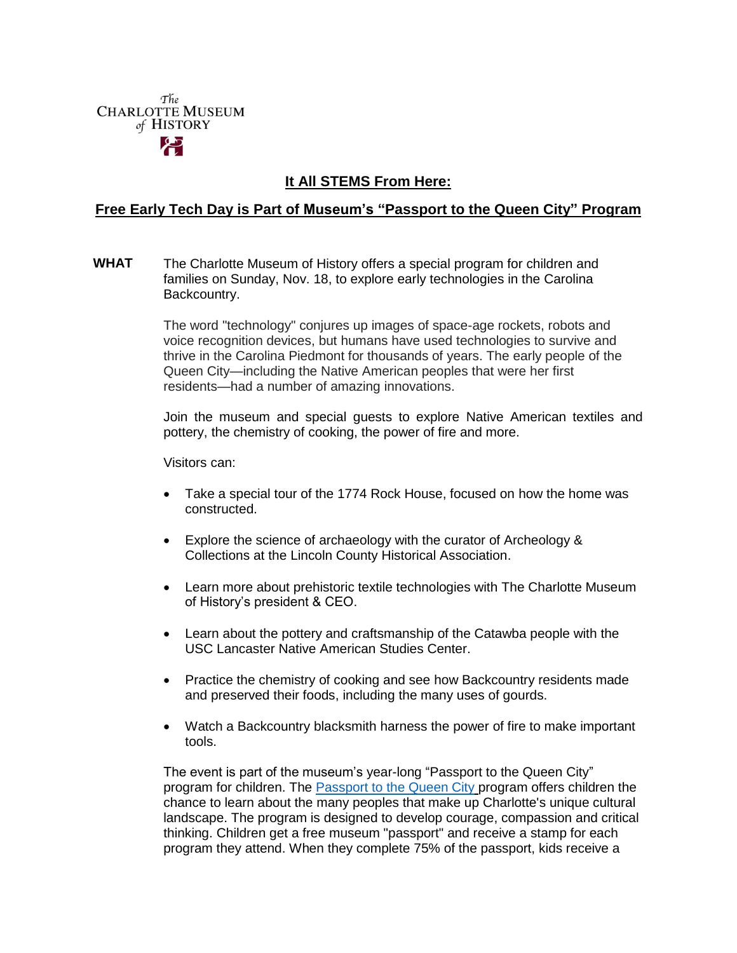

## **It All STEMS From Here:**

## **Free Early Tech Day is Part of Museum's "Passport to the Queen City" Program**

**WHAT** The Charlotte Museum of History offers a special program for children and families on Sunday, Nov. 18, to explore early technologies in the Carolina Backcountry.

> The word "technology" conjures up images of space-age rockets, robots and voice recognition devices, but humans have used technologies to survive and thrive in the Carolina Piedmont for thousands of years. The early people of the Queen City—including the Native American peoples that were her first residents—had a number of amazing innovations.

Join the museum and special guests to explore Native American textiles and pottery, the chemistry of cooking, the power of fire and more.

Visitors can:

- Take a special tour of the 1774 Rock House, focused on how the home was constructed.
- Explore the science of archaeology with the curator of Archeology & Collections at the Lincoln County Historical Association.
- Learn more about prehistoric textile technologies with The Charlotte Museum of History's president & CEO.
- Learn about the pottery and craftsmanship of the Catawba people with the USC Lancaster Native American Studies Center.
- Practice the chemistry of cooking and see how Backcountry residents made and preserved their foods, including the many uses of gourds.
- Watch a Backcountry blacksmith harness the power of fire to make important tools.

The event is part of the museum's year-long "Passport to the Queen City" program for children. The [Passport to the Queen City](http://charlottemuseum.org/tc-events/) program offers children the chance to learn about the many peoples that make up Charlotte's unique cultural landscape. The program is designed to develop courage, compassion and critical thinking. Children get a free museum "passport" and receive a stamp for each program they attend. When they complete 75% of the passport, kids receive a